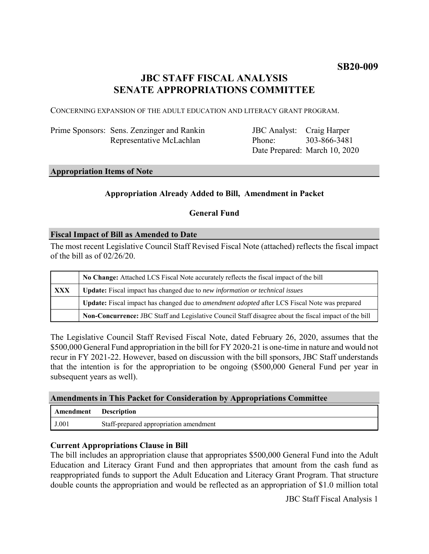# **JBC STAFF FISCAL ANALYSIS SENATE APPROPRIATIONS COMMITTEE**

CONCERNING EXPANSION OF THE ADULT EDUCATION AND LITERACY GRANT PROGRAM.

| Prime Sponsors: Sens. Zenzinger and Rankin |
|--------------------------------------------|
| Representative McLachlan                   |

JBC Analyst: Craig Harper Phone: Date Prepared: March 10, 2020 303-866-3481

### **Appropriation Items of Note**

## **Appropriation Already Added to Bill, Amendment in Packet**

### **General Fund**

### **Fiscal Impact of Bill as Amended to Date**

The most recent Legislative Council Staff Revised Fiscal Note (attached) reflects the fiscal impact of the bill as of  $02/26/20$ .

|     | No Change: Attached LCS Fiscal Note accurately reflects the fiscal impact of the bill                        |  |
|-----|--------------------------------------------------------------------------------------------------------------|--|
| XXX | Update: Fiscal impact has changed due to new information or technical issues                                 |  |
|     | <b>Update:</b> Fiscal impact has changed due to <i>amendment adopted</i> after LCS Fiscal Note was prepared  |  |
|     | <b>Non-Concurrence:</b> JBC Staff and Legislative Council Staff disagree about the fiscal impact of the bill |  |

The Legislative Council Staff Revised Fiscal Note, dated February 26, 2020, assumes that the \$500,000 General Fund appropriation in the bill for FY 2020-21 is one-time in nature and would not recur in FY 2021-22. However, based on discussion with the bill sponsors, JBC Staff understands that the intention is for the appropriation to be ongoing (\$500,000 General Fund per year in subsequent years as well).

### **Amendments in This Packet for Consideration by Appropriations Committee**

| <b>Amendment</b> Description |                                        |
|------------------------------|----------------------------------------|
| J.001                        | Staff-prepared appropriation amendment |

### **Current Appropriations Clause in Bill**

The bill includes an appropriation clause that appropriates \$500,000 General Fund into the Adult Education and Literacy Grant Fund and then appropriates that amount from the cash fund as reappropriated funds to support the Adult Education and Literacy Grant Program. That structure double counts the appropriation and would be reflected as an appropriation of \$1.0 million total